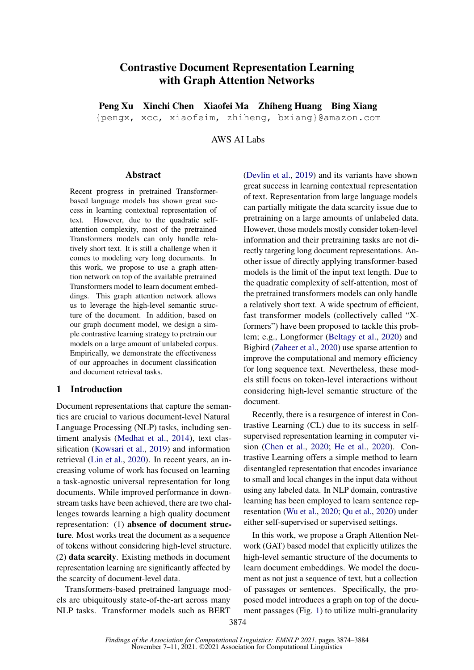# Contrastive Document Representation Learning with Graph Attention Networks

Peng Xu Xinchi Chen Xiaofei Ma Zhiheng Huang Bing Xiang {pengx, xcc, xiaofeim, zhiheng, bxiang}@amazon.com

AWS AI Labs

#### Abstract

Recent progress in pretrained Transformerbased language models has shown great success in learning contextual representation of text. However, due to the quadratic selfattention complexity, most of the pretrained Transformers models can only handle relatively short text. It is still a challenge when it comes to modeling very long documents. In this work, we propose to use a graph attention network on top of the available pretrained Transformers model to learn document embeddings. This graph attention network allows us to leverage the high-level semantic structure of the document. In addition, based on our graph document model, we design a simple contrastive learning strategy to pretrain our models on a large amount of unlabeled corpus. Empirically, we demonstrate the effectiveness of our approaches in document classification and document retrieval tasks.

### 1 Introduction

Document representations that capture the semantics are crucial to various document-level Natural Language Processing (NLP) tasks, including sentiment analysis [\(Medhat et al.,](#page-9-0) [2014\)](#page-9-0), text classification [\(Kowsari et al.,](#page-8-0) [2019\)](#page-8-0) and information retrieval [\(Lin et al.,](#page-9-1) [2020\)](#page-9-1). In recent years, an increasing volume of work has focused on learning a task-agnostic universal representation for long documents. While improved performance in downstream tasks have been achieved, there are two challenges towards learning a high quality document representation: (1) absence of document structure. Most works treat the document as a sequence of tokens without considering high-level structure. (2) data scarcity. Existing methods in document representation learning are significantly affected by the scarcity of document-level data.

Transformers-based pretrained language models are ubiquitously state-of-the-art across many NLP tasks. Transformer models such as BERT

[\(Devlin et al.,](#page-8-1) [2019\)](#page-8-1) and its variants have shown great success in learning contextual representation of text. Representation from large language models can partially mitigate the data scarcity issue due to pretraining on a large amounts of unlabeled data. However, those models mostly consider token-level information and their pretraining tasks are not directly targeting long document representations. Another issue of directly applying transformer-based models is the limit of the input text length. Due to the quadratic complexity of self-attention, most of the pretrained transformers models can only handle a relatively short text. A wide spectrum of efficient, fast transformer models (collectively called "Xformers") have been proposed to tackle this problem; e.g., Longformer [\(Beltagy et al.,](#page-8-2) [2020\)](#page-8-2) and Bigbird [\(Zaheer et al.,](#page-9-2) [2020\)](#page-9-2) use sparse attention to improve the computational and memory efficiency for long sequence text. Nevertheless, these models still focus on token-level interactions without considering high-level semantic structure of the document.

Recently, there is a resurgence of interest in Contrastive Learning (CL) due to its success in selfsupervised representation learning in computer vision [\(Chen et al.,](#page-8-3) [2020;](#page-8-3) [He et al.,](#page-8-4) [2020\)](#page-8-4). Contrastive Learning offers a simple method to learn disentangled representation that encodes invariance to small and local changes in the input data without using any labeled data. In NLP domain, contrastive learning has been employed to learn sentence representation [\(Wu et al.,](#page-9-3) [2020;](#page-9-3) [Qu et al.,](#page-9-4) [2020\)](#page-9-4) under either self-supervised or supervised settings.

In this work, we propose a Graph Attention Network (GAT) based model that explicitly utilizes the high-level semantic structure of the documents to learn document embeddings. We model the document as not just a sequence of text, but a collection of passages or sentences. Specifically, the proposed model introduces a graph on top of the document passages (Fig. [1\)](#page-1-0) to utilize multi-granularity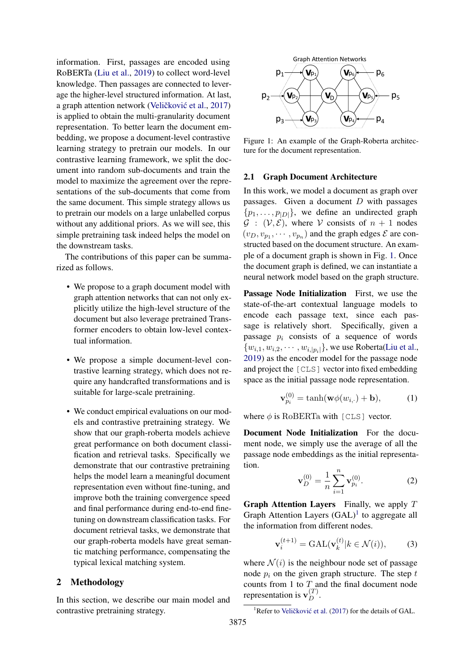information. First, passages are encoded using RoBERTa [\(Liu et al.,](#page-9-5) [2019\)](#page-9-5) to collect word-level knowledge. Then passages are connected to leverage the higher-level structured information. At last, a graph attention network (Veličković et al., [2017\)](#page-9-6) is applied to obtain the multi-granularity document representation. To better learn the document embedding, we propose a document-level contrastive learning strategy to pretrain our models. In our contrastive learning framework, we split the document into random sub-documents and train the model to maximize the agreement over the representations of the sub-documents that come from the same document. This simple strategy allows us to pretrain our models on a large unlabelled corpus without any additional priors. As we will see, this simple pretraining task indeed helps the model on the downstream tasks.

The contributions of this paper can be summarized as follows.

- We propose to a graph document model with graph attention networks that can not only explicitly utilize the high-level structure of the document but also leverage pretrained Transformer encoders to obtain low-level contextual information.
- We propose a simple document-level contrastive learning strategy, which does not require any handcrafted transformations and is suitable for large-scale pretraining.
- We conduct empirical evaluations on our models and contrastive pretraining strategy. We show that our graph-roberta models achieve great performance on both document classification and retrieval tasks. Specifically we demonstrate that our contrastive pretraining helps the model learn a meaningful document representation even without fine-tuning, and improve both the training convergence speed and final performance during end-to-end finetuning on downstream classification tasks. For document retrieval tasks, we demonstrate that our graph-roberta models have great semantic matching performance, compensating the typical lexical matching system.

### 2 Methodology

In this section, we describe our main model and contrastive pretraining strategy.

<span id="page-1-0"></span>

Figure 1: An example of the Graph-Roberta architecture for the document representation.

#### 2.1 Graph Document Architecture

In this work, we model a document as graph over passages. Given a document  $D$  with passages  $\{p_1, \ldots, p_{|D|}\}\$ , we define an undirected graph  $\mathcal{G}$  :  $(\mathcal{V}, \mathcal{E})$ , where  $\mathcal{V}$  consists of  $n + 1$  nodes  $(v_D, v_{p_1}, \dots, v_{p_n})$  and the graph edges  $\mathcal E$  are constructed based on the document structure. An example of a document graph is shown in Fig. [1.](#page-1-0) Once the document graph is defined, we can instantiate a neural network model based on the graph structure.

Passage Node Initialization First, we use the state-of-the-art contextual language models to encode each passage text, since each passage is relatively short. Specifically, given a passage  $p_i$  consists of a sequence of words  $\{w_{i,1}, w_{i,2}, \cdots, w_{i,|p_i|}\}$ , we use Roberta[\(Liu et al.,](#page-9-5) [2019\)](#page-9-5) as the encoder model for the passage node and project the [CLS] vector into fixed embedding space as the initial passage node representation.

$$
\mathbf{v}_{p_i}^{(0)} = \tanh(\mathbf{w}\phi(w_{i,\cdot}) + \mathbf{b}),\tag{1}
$$

where  $\phi$  is RoBERTa with [CLS] vector.

Document Node Initialization For the document node, we simply use the average of all the passage node embeddings as the initial representation.

$$
\mathbf{v}_D^{(0)} = \frac{1}{n} \sum_{i=1}^n \mathbf{v}_{p_i}^{(0)}.
$$
 (2)

**Graph Attention Layers** Finally, we apply  $T$ Graph Attention Layers  $(GAL)^1$  $(GAL)^1$  to aggregate all the information from different nodes.

$$
\mathbf{v}_i^{(t+1)} = \text{GAL}(\mathbf{v}_k^{(t)} | k \in \mathcal{N}(i)),\tag{3}
$$

where  $\mathcal{N}(i)$  is the neighbour node set of passage node  $p_i$  on the given graph structure. The step  $t$ counts from 1 to  $T_$  and the final document node representation is  $\mathbf{v}_D^{(T)}$ .

<span id="page-1-1"></span><sup>&</sup>lt;sup>1</sup>Refer to Veličković et al.  $(2017)$  for the details of GAL.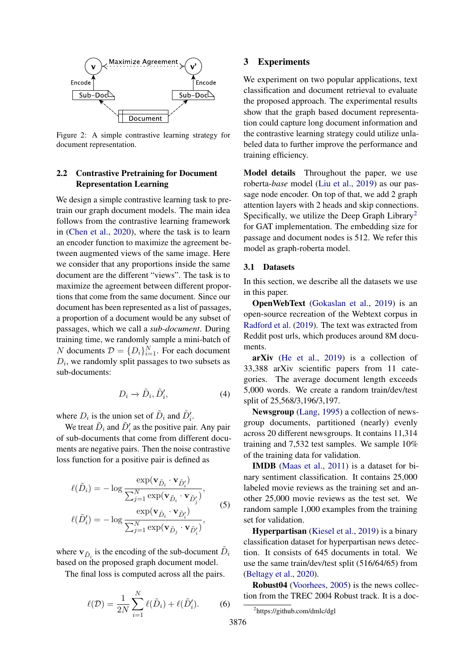

Figure 2: A simple contrastive learning strategy for document representation.

### 2.2 Contrastive Pretraining for Document Representation Learning

We design a simple contrastive learning task to pretrain our graph document models. The main idea follows from the contrastive learning framework in [\(Chen et al.,](#page-8-3) [2020\)](#page-8-3), where the task is to learn an encoder function to maximize the agreement between augmented views of the same image. Here we consider that any proportions inside the same document are the different "views". The task is to maximize the agreement between different proportions that come from the same document. Since our document has been represented as a list of passages, a proportion of a document would be any subset of passages, which we call a *sub-document*. During training time, we randomly sample a mini-batch of N documents  $\mathcal{D} = \{D_i\}_{i=1}^N$ . For each document  $D_i$ , we randomly split passages to two subsets as sub-documents:

$$
D_i \to \tilde{D}_i, \tilde{D}'_i,\tag{4}
$$

where  $D_i$  is the union set of  $\tilde{D}_i$  and  $\tilde{D}'_i$ .

We treat  $\tilde{D}_i$  and  $\tilde{D}'_i$  as the positive pair. Any pair of sub-documents that come from different documents are negative pairs. Then the noise contrastive loss function for a positive pair is defined as

$$
\ell(\tilde{D}_i) = -\log \frac{\exp(\mathbf{v}_{\tilde{D}_i} \cdot \mathbf{v}_{\tilde{D}'_i})}{\sum_{j=1}^N \exp(\mathbf{v}_{\tilde{D}_i} \cdot \mathbf{v}_{\tilde{D}'_j})},
$$
  

$$
\ell(\tilde{D}'_i) = -\log \frac{\exp(\mathbf{v}_{\tilde{D}_i} \cdot \mathbf{v}_{\tilde{D}'_i})}{\sum_{j=1}^N \exp(\mathbf{v}_{\tilde{D}_j} \cdot \mathbf{v}_{\tilde{D}'_i})},
$$
 (5)

where  $\mathbf{v}_{\tilde{D}_i}$  is the encoding of the sub-document  $\tilde{D}_i$ based on the proposed graph document model.

The final loss is computed across all the pairs.

$$
\ell(\mathcal{D}) = \frac{1}{2N} \sum_{i=1}^{N} \ell(\tilde{D}_i) + \ell(\tilde{D}'_i).
$$
 (6)

### 3 Experiments

We experiment on two popular applications, text classification and document retrieval to evaluate the proposed approach. The experimental results show that the graph based document representation could capture long document information and the contrastive learning strategy could utilize unlabeled data to further improve the performance and training efficiency.

Model details Throughout the paper, we use roberta-*base* model [\(Liu et al.,](#page-9-5) [2019\)](#page-9-5) as our passage node encoder. On top of that, we add 2 graph attention layers with 2 heads and skip connections. Specifically, we utilize the Deep Graph Library<sup>[2](#page-2-0)</sup> for GAT implementation. The embedding size for passage and document nodes is 512. We refer this model as graph-roberta model.

#### 3.1 Datasets

In this section, we describe all the datasets we use in this paper.

**OpenWebText** [\(Gokaslan et al.,](#page-8-5) [2019\)](#page-8-5) is an open-source recreation of the Webtext corpus in [Radford et al.](#page-9-7) [\(2019\)](#page-9-7). The text was extracted from Reddit post urls, which produces around 8M documents.

arXiv [\(He et al.,](#page-8-6) [2019\)](#page-8-6) is a collection of 33,388 arXiv scientific papers from 11 categories. The average document length exceeds 5,000 words. We create a random train/dev/test split of 25,568/3,196/3,197.

Newsgroup [\(Lang,](#page-8-7) [1995\)](#page-8-7) a collection of newsgroup documents, partitioned (nearly) evenly across 20 different newsgroups. It contains 11,314 training and 7,532 test samples. We sample 10% of the training data for validation.

IMDB [\(Maas et al.,](#page-9-8) [2011\)](#page-9-8) is a dataset for binary sentiment classification. It contains 25,000 labeled movie reviews as the training set and another 25,000 movie reviews as the test set. We random sample 1,000 examples from the training set for validation.

Hyperpartisan [\(Kiesel et al.,](#page-8-8) [2019\)](#page-8-8) is a binary classification dataset for hyperpartisan news detection. It consists of 645 documents in total. We use the same train/dev/test split (516/64/65) from [\(Beltagy et al.,](#page-8-2) [2020\)](#page-8-2).

Robust04 [\(Voorhees,](#page-9-9) [2005\)](#page-9-9) is the news collection from the TREC 2004 Robust track. It is a doc-

<span id="page-2-0"></span><sup>2</sup> https://github.com/dmlc/dgl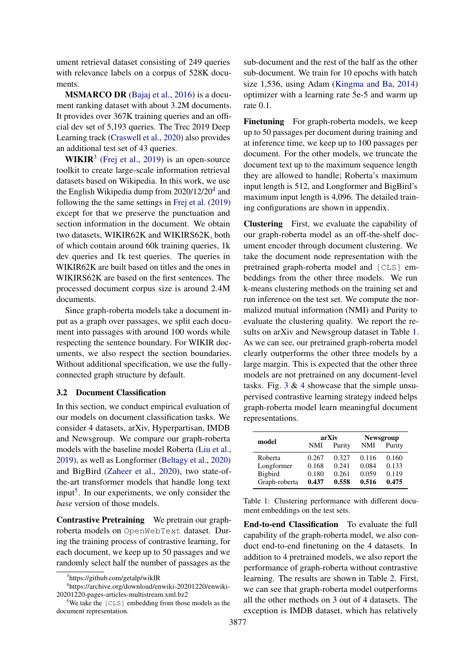ument retrieval dataset consisting of 249 queries with relevance labels on a corpus of 528K documents.

MSMARCO DR [\(Bajaj et al.,](#page-8-9) [2016\)](#page-8-9) is a document ranking dataset with about 3.2M documents. It provides over 367K training queries and an official dev set of 5,193 queries. The Trec 2019 Deep Learning track [\(Craswell et al.,](#page-8-10) [2020\)](#page-8-10) also provides an additional test set of 43 queries.

 $WIKIR<sup>3</sup>$  $WIKIR<sup>3</sup>$  $WIKIR<sup>3</sup>$  [\(Frej et al.,](#page-8-11) [2019\)](#page-8-11) is an open-source toolkit to create large-scale information retrieval datasets based on Wikipedia. In this work, we use the English Wikipedia dump from 2020/12/20<sup>[4](#page-3-1)</sup> and following the the same settings in [Frej et al.](#page-8-11) [\(2019\)](#page-8-11) except for that we preserve the punctuation and section information in the document. We obtain two datasets, WIKIR62K and WIKIRS62K, both of which contain around 60k training queries, 1k dev queries and 1k test queries. The queries in WIKIR62K are built based on titles and the ones in WIKIRS62K are based on the first sentences. The processed document corpus size is around 2.4M documents.

Since graph-roberta models take a document input as a graph over passages, we split each document into passages with around 100 words while respecting the sentence boundary. For WIKIR documents, we also respect the section boundaries. Without additional specification, we use the fullyconnected graph structure by default.

#### 3.2 Document Classification

In this section, we conduct empirical evaluation of our models on document classification tasks. We consider 4 datasets, arXiv, Hyperpartisan, IMDB and Newsgroup. We compare our graph-roberta models with the baseline model Roberta [\(Liu et al.,](#page-9-5) [2019\)](#page-9-5), as well as Longformer [\(Beltagy et al.,](#page-8-2) [2020\)](#page-8-2) and BigBird [\(Zaheer et al.,](#page-9-2) [2020\)](#page-9-2), two state-ofthe-art transformer models that handle long text input<sup>[5](#page-3-2)</sup>. In our experiments, we only consider the *base* version of those models.

Contrastive Pretraining We pretrain our graphroberta models on OpenWebText dataset. During the training process of contrastive learning, for each document, we keep up to 50 passages and we randomly select half the number of passages as the

sub-document and the rest of the half as the other sub-document. We train for 10 epochs with batch size 1,536, using Adam [\(Kingma and Ba,](#page-8-12) [2014\)](#page-8-12) optimizer with a learning rate 5e-5 and warm up rate 0.1.

Finetuning For graph-roberta models, we keep up to 50 passages per document during training and at inference time, we keep up to 100 passages per document. For the other models, we truncate the document text up to the maximum sequence length they are allowed to handle; Roberta's maximum input length is 512, and Longformer and BigBird's maximum input length is 4,096. The detailed training configurations are shown in appendix.

Clustering First, we evaluate the capability of our graph-roberta model as an off-the-shelf document encoder through document clustering. We take the document node representation with the pretrained graph-roberta model and [CLS] embeddings from the other three models. We run k-means clustering methods on the training set and run inference on the test set. We compute the normalized mutual information (NMI) and Purity to evaluate the clustering quality. We report the results on arXiv and Newsgroup dataset in Table [1.](#page-3-3) As we can see, our pretrained graph-roberta model clearly outperforms the other three models by a large margin. This is expected that the other three models are not pretrained on any document-level tasks. Fig.  $3 \& 4$  $3 \& 4$  $3 \& 4$  showcase that the simple unsupervised contrastive learning strategy indeed helps graph-roberta model learn meaningful document representations.

<span id="page-3-3"></span>

| model         |       | arXiv  | <b>Newsgroup</b> |        |  |
|---------------|-------|--------|------------------|--------|--|
|               | NMI   | Purity | NMI              | Purity |  |
| Roberta       | 0.267 | 0.327  | 0.116            | 0.160  |  |
| Longformer    | 0.168 | 0.241  | 0.084            | 0.133  |  |
| Bigbird       | 0.180 | 0.261  | 0.059            | 0.119  |  |
| Graph-roberta | 0.437 | 0.558  | 0.516            | 0.475  |  |

Table 1: Clustering performance with different document embeddings on the test sets.

End-to-end Classification To evaluate the full capability of the graph-roberta model, we also conduct end-to-end finetuning on the 4 datasets. In addition to 4 pretrained models, we also report the performance of graph-roberta without contrastive learning. The results are shown in Table [2.](#page-4-2) First, we can see that graph-roberta model outperforms all the other methods on 3 out of 4 datasets. The exception is IMDB dataset, which has relatively

<span id="page-3-1"></span><span id="page-3-0"></span><sup>3</sup> https://github.com/getalp/wikIR

<sup>4</sup> https://archive.org/download/enwiki-20201220/enwiki-20201220-pages-articles-multistream.xml.bz2

<span id="page-3-2"></span>We take the [CLS] embedding from those models as the document representation.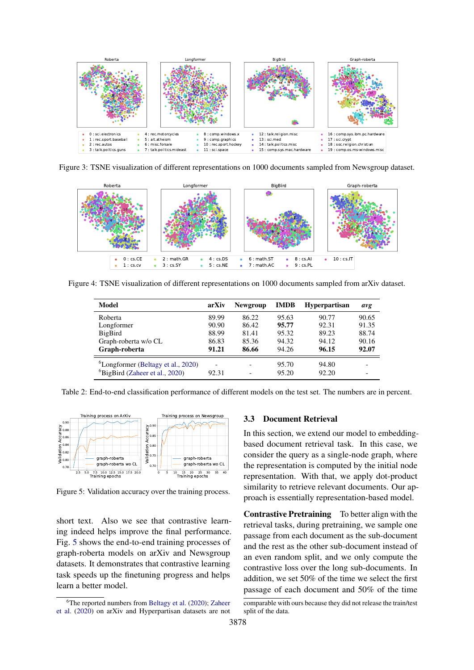<span id="page-4-0"></span>

Figure 3: TSNE visualization of different representations on 1000 documents sampled from Newsgroup dataset.

<span id="page-4-1"></span>

<span id="page-4-2"></span>Figure 4: TSNE visualization of different representations on 1000 documents sampled from arXiv dataset.

| Model                                          | arXiv                    | <b>Newgroup</b> | <b>IMDB</b> | <b>Hyperpartisan</b> | avg   |
|------------------------------------------------|--------------------------|-----------------|-------------|----------------------|-------|
| Roberta                                        | 89.99                    | 86.22           | 95.63       | 90.77                | 90.65 |
| Longformer                                     | 90.90                    | 86.42           | 95.77       | 92.31                | 91.35 |
| BigBird                                        | 88.99                    | 81.41           | 95.32       | 89.23                | 88.74 |
| Graph-roberta w/o CL                           | 86.83                    | 85.36           | 94.32       | 94.12                | 90.16 |
| Graph-roberta                                  | 91.21                    | 86.66           | 94.26       | 96.15                | 92.07 |
| <sup>6</sup> Longformer (Beltagy et al., 2020) | $\overline{\phantom{0}}$ |                 | 95.70       | 94.80                |       |
| <sup>6</sup> BigBird (Zaheer et al., 2020)     | 92.31                    | -               | 95.20       | 92.20                |       |

Table 2: End-to-end classification performance of different models on the test set. The numbers are in percent.

<span id="page-4-3"></span>

Figure 5: Validation accuracy over the training process.

short text. Also we see that contrastive learning indeed helps improve the final performance. Fig. [5](#page-4-3) shows the end-to-end training processes of graph-roberta models on arXiv and Newsgroup datasets. It demonstrates that contrastive learning task speeds up the finetuning progress and helps learn a better model.

#### 3.3 Document Retrieval

In this section, we extend our model to embeddingbased document retrieval task. In this case, we consider the query as a single-node graph, where the representation is computed by the initial node representation. With that, we apply dot-product similarity to retrieve relevant documents. Our approach is essentially representation-based model.

Contrastive Pretraining To better align with the retrieval tasks, during pretraining, we sample one passage from each document as the sub-document and the rest as the other sub-document instead of an even random split, and we only compute the contrastive loss over the long sub-documents. In addition, we set 50% of the time we select the first passage of each document and 50% of the time

 ${}^{6}$ The reported numbers from [Beltagy et al.](#page-8-2) [\(2020\)](#page-8-2); [Zaheer](#page-9-2) [et al.](#page-9-2) [\(2020\)](#page-9-2) on arXiv and Hyperpartisan datasets are not

comparable with ours because they did not release the train/test split of the data.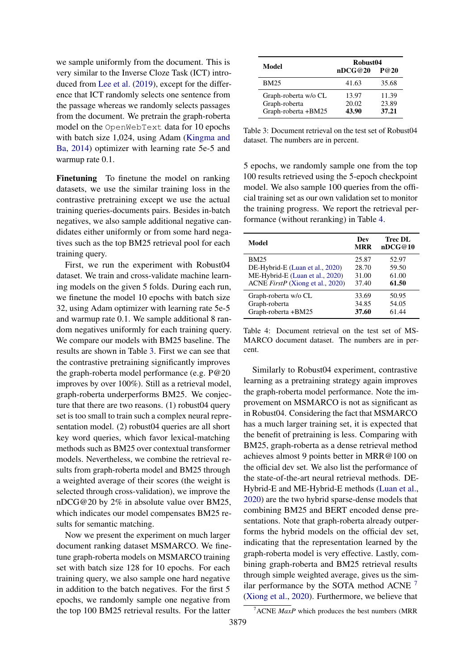we sample uniformly from the document. This is very similar to the Inverse Cloze Task (ICT) introduced from [Lee et al.](#page-8-13) [\(2019\)](#page-8-13), except for the difference that ICT randomly selects one sentence from the passage whereas we randomly selects passages from the document. We pretrain the graph-roberta model on the OpenWebText data for 10 epochs with batch size 1,024, using Adam [\(Kingma and](#page-8-12) [Ba,](#page-8-12) [2014\)](#page-8-12) optimizer with learning rate 5e-5 and warmup rate  $0.1$ .

Finetuning To finetune the model on ranking datasets, we use the similar training loss in the contrastive pretraining except we use the actual training queries-documents pairs. Besides in-batch negatives, we also sample additional negative candidates either uniformly or from some hard negatives such as the top BM25 retrieval pool for each training query.

First, we run the experiment with Robust04 dataset. We train and cross-validate machine learning models on the given 5 folds. During each run, we finetune the model 10 epochs with batch size 32, using Adam optimizer with learning rate 5e-5 and warmup rate 0.1. We sample additional 8 random negatives uniformly for each training query. We compare our models with BM25 baseline. The results are shown in Table [3.](#page-5-0) First we can see that the contrastive pretraining significantly improves the graph-roberta model performance (e.g. P@20 improves by over 100%). Still as a retrieval model, graph-roberta underperforms BM25. We conjecture that there are two reasons. (1) robust04 query set is too small to train such a complex neural representation model. (2) robust04 queries are all short key word queries, which favor lexical-matching methods such as BM25 over contextual transformer models. Nevertheless, we combine the retrieval results from graph-roberta model and BM25 through a weighted average of their scores (the weight is selected through cross-validation), we improve the nDCG@20 by 2% in absolute value over BM25, which indicates our model compensates BM25 results for semantic matching.

Now we present the experiment on much larger document ranking dataset MSMARCO. We finetune graph-roberta models on MSMARCO training set with batch size 128 for 10 epochs. For each training query, we also sample one hard negative in addition to the batch negatives. For the first 5 epochs, we randomly sample one negative from the top 100 BM25 retrieval results. For the latter

<span id="page-5-0"></span>

| Model                                                        | Robust04<br>nDCG@20<br>P@20 |                         |  |  |
|--------------------------------------------------------------|-----------------------------|-------------------------|--|--|
| <b>BM25</b>                                                  | 41.63                       | 35.68                   |  |  |
| Graph-roberta w/o CL<br>Graph-roberta<br>Graph-roberta +BM25 | 13.97<br>20.02<br>43.90     | 11.39<br>23.89<br>37.21 |  |  |

Table 3: Document retrieval on the test set of Robust04 dataset. The numbers are in percent.

5 epochs, we randomly sample one from the top 100 results retrieved using the 5-epoch checkpoint model. We also sample 100 queries from the official training set as our own validation set to monitor the training progress. We report the retrieval performance (without reranking) in Table [4.](#page-5-1)

<span id="page-5-1"></span>

| Model                            | Dev<br><b>MRR</b> | Trec DL<br>nDCG@10 |
|----------------------------------|-------------------|--------------------|
| <b>BM25</b>                      | 25.87             | 52.97              |
| DE-Hybrid-E (Luan et al., 2020)  | 28.70             | 59.50              |
| ME-Hybrid-E (Luan et al., 2020)  | 31.00             | 61.00              |
| ACNE FirstP (Xiong et al., 2020) | 37.40             | 61.50              |
| Graph-roberta w/o CL             | 33.69             | 50.95              |
| Graph-roberta                    | 34.85             | 54.05              |
| Graph-roberta +BM25              | 37.60             | 61.44              |

Table 4: Document retrieval on the test set of MS-MARCO document dataset. The numbers are in percent.

Similarly to Robust04 experiment, contrastive learning as a pretraining strategy again improves the graph-roberta model performance. Note the improvement on MSMARCO is not as significant as in Robust04. Considering the fact that MSMARCO has a much larger training set, it is expected that the benefit of pretraining is less. Comparing with BM25, graph-roberta as a dense retrieval method achieves almost 9 points better in MRR@100 on the official dev set. We also list the performance of the state-of-the-art neural retrieval methods. DE-Hybrid-E and ME-Hybrid-E methods [\(Luan et al.,](#page-9-10) [2020\)](#page-9-10) are the two hybrid sparse-dense models that combining BM25 and BERT encoded dense presentations. Note that graph-roberta already outperforms the hybrid models on the official dev set, indicating that the representation learned by the graph-roberta model is very effective. Lastly, combining graph-roberta and BM25 retrieval results through simple weighted average, gives us the similar performance by the SOTA method ACNE  $^7$  $^7$ [\(Xiong et al.,](#page-9-11) [2020\)](#page-9-11). Furthermore, we believe that

<span id="page-5-2"></span><sup>7</sup>ACNE *MaxP* which produces the best numbers (MRR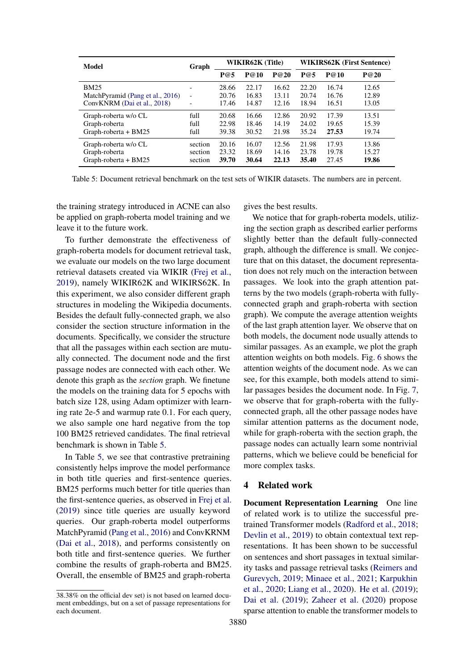<span id="page-6-0"></span>

| Model                            | Graph                    | WIKIR62K (Title) |       |       | <b>WIKIRS62K (First Sentence)</b> |       |       |
|----------------------------------|--------------------------|------------------|-------|-------|-----------------------------------|-------|-------|
|                                  |                          | P@5              | P@10  | P@20  | P@5                               | P@10  | P@20  |
| <b>BM25</b>                      | $\overline{\phantom{a}}$ | 28.66            | 22.17 | 16.62 | 22.20                             | 16.74 | 12.65 |
| MatchPyramid (Pang et al., 2016) | $\overline{\phantom{a}}$ | 20.76            | 16.83 | 13.11 | 20.74                             | 16.76 | 12.89 |
| ConvKNRM (Dai et al., 2018)      | -                        | 17.46            | 14.87 | 12.16 | 18.94                             | 16.51 | 13.05 |
| Graph-roberta w/o CL             | full                     | 20.68            | 16.66 | 12.86 | 20.92                             | 17.39 | 13.51 |
| Graph-roberta                    | full                     | 22.98            | 18.46 | 14.19 | 24.02                             | 19.65 | 15.39 |
| Graph-roberta + BM25             | full                     | 39.38            | 30.52 | 21.98 | 35.24                             | 27.53 | 19.74 |
| Graph-roberta w/o CL             | section                  | 20.16            | 16.07 | 12.56 | 21.98                             | 17.93 | 13.86 |
| Graph-roberta                    | section                  | 23.32            | 18.69 | 14.16 | 23.78                             | 19.78 | 15.27 |
| Graph-roberta + BM25             | section                  | 39.70            | 30.64 | 22.13 | 35.40                             | 27.45 | 19.86 |

Table 5: Document retrieval benchmark on the test sets of WIKIR datasets. The numbers are in percent.

the training strategy introduced in ACNE can also be applied on graph-roberta model training and we leave it to the future work.

To further demonstrate the effectiveness of graph-roberta models for document retrieval task, we evaluate our models on the two large document retrieval datasets created via WIKIR [\(Frej et al.,](#page-8-11) [2019\)](#page-8-11), namely WIKIR62K and WIKIRS62K. In this experiment, we also consider different graph structures in modeling the Wikipedia documents. Besides the default fully-connected graph, we also consider the section structure information in the documents. Specifically, we consider the structure that all the passages within each section are mutually connected. The document node and the first passage nodes are connected with each other. We denote this graph as the *section* graph. We finetune the models on the training data for 5 epochs with batch size 128, using Adam optimizer with learning rate 2e-5 and warmup rate 0.1. For each query, we also sample one hard negative from the top 100 BM25 retrieved candidates. The final retrieval benchmark is shown in Table [5.](#page-6-0)

In Table [5,](#page-6-0) we see that contrastive pretraining consistently helps improve the model performance in both title queries and first-sentence queries. BM25 performs much better for title queries than the first-sentence queries, as observed in [Frej et al.](#page-8-11) [\(2019\)](#page-8-11) since title queries are usually keyword queries. Our graph-roberta model outperforms MatchPyramid [\(Pang et al.,](#page-9-12) [2016\)](#page-9-12) and ConvKRNM [\(Dai et al.,](#page-8-14) [2018\)](#page-8-14), and performs consistently on both title and first-sentence queries. We further combine the results of graph-roberta and BM25. Overall, the ensemble of BM25 and graph-roberta

gives the best results.

We notice that for graph-roberta models, utilizing the section graph as described earlier performs slightly better than the default fully-connected graph, although the difference is small. We conjecture that on this dataset, the document representation does not rely much on the interaction between passages. We look into the graph attention patterns by the two models (graph-roberta with fullyconnected graph and graph-roberta with section graph). We compute the average attention weights of the last graph attention layer. We observe that on both models, the document node usually attends to similar passages. As an example, we plot the graph attention weights on both models. Fig. [6](#page-7-0) shows the attention weights of the document node. As we can see, for this example, both models attend to similar passages besides the document node. In Fig. [7,](#page-7-1) we observe that for graph-roberta with the fullyconnected graph, all the other passage nodes have similar attention patterns as the document node, while for graph-roberta with the section graph, the passage nodes can actually learn some nontrivial patterns, which we believe could be beneficial for more complex tasks.

### 4 Related work

Document Representation Learning One line of related work is to utilize the successful pretrained Transformer models [\(Radford et al.,](#page-9-13) [2018;](#page-9-13) [Devlin et al.,](#page-8-1) [2019\)](#page-8-1) to obtain contextual text representations. It has been shown to be successful on sentences and short passages in textual similarity tasks and passage retrieval tasks [\(Reimers and](#page-9-14) [Gurevych,](#page-9-14) [2019;](#page-9-14) [Minaee et al.,](#page-9-15) [2021;](#page-9-15) [Karpukhin](#page-8-15) [et al.,](#page-8-15) [2020;](#page-8-15) [Liang et al.,](#page-8-16) [2020\)](#page-8-16). [He et al.](#page-8-6) [\(2019\)](#page-8-6); [Dai et al.](#page-8-17) [\(2019\)](#page-8-17); [Zaheer et al.](#page-9-2) [\(2020\)](#page-9-2) propose sparse attention to enable the transformer models to

<sup>38.38%</sup> on the official dev set) is not based on learned document embeddings, but on a set of passage representations for each document.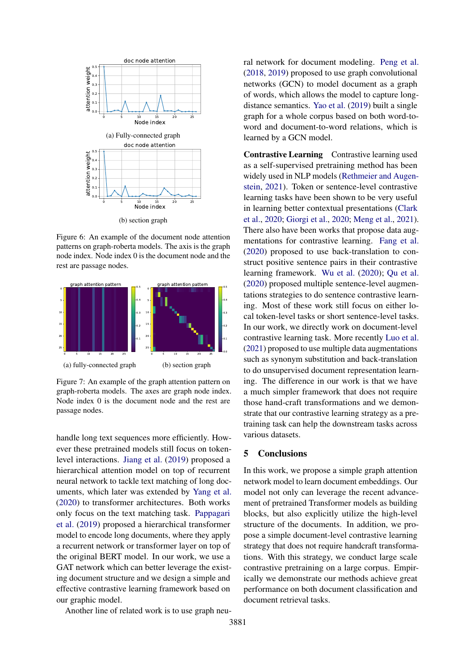<span id="page-7-0"></span>

Figure 6: An example of the document node attention patterns on graph-roberta models. The axis is the graph node index. Node index 0 is the document node and the rest are passage nodes.

<span id="page-7-1"></span>

Figure 7: An example of the graph attention pattern on graph-roberta models. The axes are graph node index. Node index 0 is the document node and the rest are passage nodes.

handle long text sequences more efficiently. However these pretrained models still focus on tokenlevel interactions. [Jiang et al.](#page-8-18) [\(2019\)](#page-8-18) proposed a hierarchical attention model on top of recurrent neural network to tackle text matching of long documents, which later was extended by [Yang et al.](#page-9-16) [\(2020\)](#page-9-16) to transformer architectures. Both works only focus on the text matching task. [Pappagari](#page-9-17) [et al.](#page-9-17) [\(2019\)](#page-9-17) proposed a hierarchical transformer model to encode long documents, where they apply a recurrent network or transformer layer on top of the original BERT model. In our work, we use a GAT network which can better leverage the existing document structure and we design a simple and effective contrastive learning framework based on our graphic model.

Another line of related work is to use graph neu-

ral network for document modeling. [Peng et al.](#page-9-18) [\(2018,](#page-9-18) [2019\)](#page-9-19) proposed to use graph convolutional networks (GCN) to model document as a graph of words, which allows the model to capture longdistance semantics. [Yao et al.](#page-9-20) [\(2019\)](#page-9-20) built a single graph for a whole corpus based on both word-toword and document-to-word relations, which is learned by a GCN model.

Contrastive Learning Contrastive learning used as a self-supervised pretraining method has been widely used in NLP models [\(Rethmeier and Augen](#page-9-21)[stein,](#page-9-21) [2021\)](#page-9-21). Token or sentence-level contrastive learning tasks have been shown to be very useful in learning better contextual presentations [\(Clark](#page-8-19) [et al.,](#page-8-19) [2020;](#page-8-19) [Giorgi et al.,](#page-8-20) [2020;](#page-8-20) [Meng et al.,](#page-9-22) [2021\)](#page-9-22). There also have been works that propose data augmentations for contrastive learning. [Fang et al.](#page-8-21) [\(2020\)](#page-8-21) proposed to use back-translation to construct positive sentence pairs in their contrastive learning framework. [Wu et al.](#page-9-3) [\(2020\)](#page-9-3); [Qu et al.](#page-9-4) [\(2020\)](#page-9-4) proposed multiple sentence-level augmentations strategies to do sentence contrastive learning. Most of these work still focus on either local token-level tasks or short sentence-level tasks. In our work, we directly work on document-level contrastive learning task. More recently [Luo et al.](#page-9-23) [\(2021\)](#page-9-23) proposed to use multiple data augmentations such as synonym substitution and back-translation to do unsupervised document representation learning. The difference in our work is that we have a much simpler framework that does not require those hand-craft transformations and we demonstrate that our contrastive learning strategy as a pretraining task can help the downstream tasks across various datasets.

#### 5 Conclusions

In this work, we propose a simple graph attention network model to learn document embeddings. Our model not only can leverage the recent advancement of pretrained Transformer models as building blocks, but also explicitly utilize the high-level structure of the documents. In addition, we propose a simple document-level contrastive learning strategy that does not require handcraft transformations. With this strategy, we conduct large scale contrastive pretraining on a large corpus. Empirically we demonstrate our methods achieve great performance on both document classification and document retrieval tasks.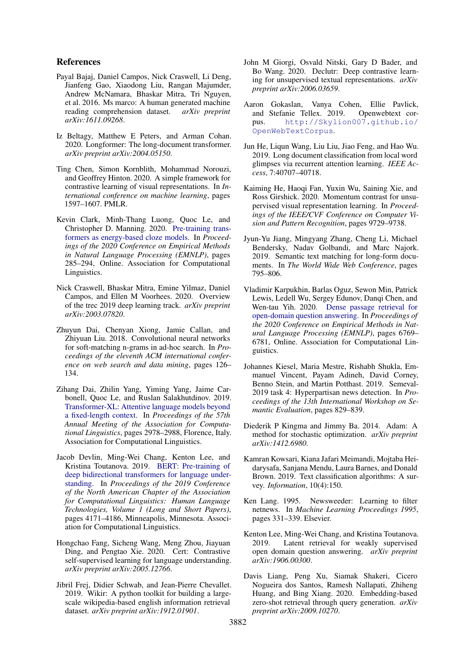#### References

- <span id="page-8-9"></span>Payal Bajaj, Daniel Campos, Nick Craswell, Li Deng, Jianfeng Gao, Xiaodong Liu, Rangan Majumder, Andrew McNamara, Bhaskar Mitra, Tri Nguyen, et al. 2016. Ms marco: A human generated machine reading comprehension dataset. *arXiv preprint arXiv:1611.09268*.
- <span id="page-8-2"></span>Iz Beltagy, Matthew E Peters, and Arman Cohan. 2020. Longformer: The long-document transformer. *arXiv preprint arXiv:2004.05150*.
- <span id="page-8-3"></span>Ting Chen, Simon Kornblith, Mohammad Norouzi, and Geoffrey Hinton. 2020. A simple framework for contrastive learning of visual representations. In *International conference on machine learning*, pages 1597–1607. PMLR.
- <span id="page-8-19"></span>Kevin Clark, Minh-Thang Luong, Quoc Le, and Christopher D. Manning. 2020. [Pre-training trans](https://doi.org/10.18653/v1/2020.emnlp-main.20)[formers as energy-based cloze models.](https://doi.org/10.18653/v1/2020.emnlp-main.20) In *Proceedings of the 2020 Conference on Empirical Methods in Natural Language Processing (EMNLP)*, pages 285–294, Online. Association for Computational Linguistics.
- <span id="page-8-10"></span>Nick Craswell, Bhaskar Mitra, Emine Yilmaz, Daniel Campos, and Ellen M Voorhees. 2020. Overview of the trec 2019 deep learning track. *arXiv preprint arXiv:2003.07820*.
- <span id="page-8-14"></span>Zhuyun Dai, Chenyan Xiong, Jamie Callan, and Zhiyuan Liu. 2018. Convolutional neural networks for soft-matching n-grams in ad-hoc search. In *Proceedings of the eleventh ACM international conference on web search and data mining*, pages 126– 134.
- <span id="page-8-17"></span>Zihang Dai, Zhilin Yang, Yiming Yang, Jaime Carbonell, Quoc Le, and Ruslan Salakhutdinov. 2019. [Transformer-XL: Attentive language models beyond](https://doi.org/10.18653/v1/P19-1285) [a fixed-length context.](https://doi.org/10.18653/v1/P19-1285) In *Proceedings of the 57th Annual Meeting of the Association for Computational Linguistics*, pages 2978–2988, Florence, Italy. Association for Computational Linguistics.
- <span id="page-8-1"></span>Jacob Devlin, Ming-Wei Chang, Kenton Lee, and Kristina Toutanova. 2019. [BERT: Pre-training of](https://doi.org/10.18653/v1/N19-1423) [deep bidirectional transformers for language under](https://doi.org/10.18653/v1/N19-1423)[standing.](https://doi.org/10.18653/v1/N19-1423) In *Proceedings of the 2019 Conference of the North American Chapter of the Association for Computational Linguistics: Human Language Technologies, Volume 1 (Long and Short Papers)*, pages 4171–4186, Minneapolis, Minnesota. Association for Computational Linguistics.
- <span id="page-8-21"></span>Hongchao Fang, Sicheng Wang, Meng Zhou, Jiayuan Ding, and Pengtao Xie. 2020. Cert: Contrastive self-supervised learning for language understanding. *arXiv preprint arXiv:2005.12766*.
- <span id="page-8-11"></span>Jibril Frej, Didier Schwab, and Jean-Pierre Chevallet. 2019. Wikir: A python toolkit for building a largescale wikipedia-based english information retrieval dataset. *arXiv preprint arXiv:1912.01901*.
- <span id="page-8-20"></span>John M Giorgi, Osvald Nitski, Gary D Bader, and Bo Wang. 2020. Declutr: Deep contrastive learning for unsupervised textual representations. *arXiv preprint arXiv:2006.03659*.
- <span id="page-8-5"></span>Aaron Gokaslan, Vanya Cohen, Ellie Pavlick, and Stefanie Tellex. 2019. Openwebtext corpus. [http://Skylion007.github.io/](http://Skylion007.github.io/OpenWebTextCorpus) [OpenWebTextCorpus](http://Skylion007.github.io/OpenWebTextCorpus).
- <span id="page-8-6"></span>Jun He, Liqun Wang, Liu Liu, Jiao Feng, and Hao Wu. 2019. Long document classification from local word glimpses via recurrent attention learning. *IEEE Access*, 7:40707–40718.
- <span id="page-8-4"></span>Kaiming He, Haoqi Fan, Yuxin Wu, Saining Xie, and Ross Girshick. 2020. Momentum contrast for unsupervised visual representation learning. In *Proceedings of the IEEE/CVF Conference on Computer Vision and Pattern Recognition*, pages 9729–9738.
- <span id="page-8-18"></span>Jyun-Yu Jiang, Mingyang Zhang, Cheng Li, Michael Bendersky, Nadav Golbandi, and Marc Najork. 2019. Semantic text matching for long-form documents. In *The World Wide Web Conference*, pages 795–806.
- <span id="page-8-15"></span>Vladimir Karpukhin, Barlas Oguz, Sewon Min, Patrick Lewis, Ledell Wu, Sergey Edunov, Danqi Chen, and Wen-tau Yih. 2020. [Dense passage retrieval for](https://doi.org/10.18653/v1/2020.emnlp-main.550) [open-domain question answering.](https://doi.org/10.18653/v1/2020.emnlp-main.550) In *Proceedings of the 2020 Conference on Empirical Methods in Natural Language Processing (EMNLP)*, pages 6769– 6781, Online. Association for Computational Linguistics.
- <span id="page-8-8"></span>Johannes Kiesel, Maria Mestre, Rishabh Shukla, Emmanuel Vincent, Payam Adineh, David Corney, Benno Stein, and Martin Potthast. 2019. Semeval-2019 task 4: Hyperpartisan news detection. In *Proceedings of the 13th International Workshop on Semantic Evaluation*, pages 829–839.
- <span id="page-8-12"></span>Diederik P Kingma and Jimmy Ba. 2014. Adam: A method for stochastic optimization. *arXiv preprint arXiv:1412.6980*.
- <span id="page-8-0"></span>Kamran Kowsari, Kiana Jafari Meimandi, Mojtaba Heidarysafa, Sanjana Mendu, Laura Barnes, and Donald Brown. 2019. Text classification algorithms: A survey. *Information*, 10(4):150.
- <span id="page-8-7"></span>Ken Lang. 1995. Newsweeder: Learning to filter netnews. In *Machine Learning Proceedings 1995*, pages 331–339. Elsevier.
- <span id="page-8-13"></span>Kenton Lee, Ming-Wei Chang, and Kristina Toutanova. 2019. Latent retrieval for weakly supervised open domain question answering. *arXiv preprint arXiv:1906.00300*.
- <span id="page-8-16"></span>Davis Liang, Peng Xu, Siamak Shakeri, Cicero Nogueira dos Santos, Ramesh Nallapati, Zhiheng Huang, and Bing Xiang. 2020. Embedding-based zero-shot retrieval through query generation. *arXiv preprint arXiv:2009.10270*.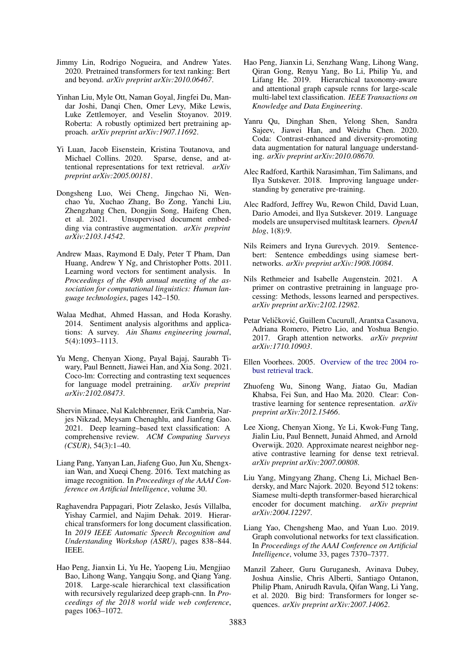- <span id="page-9-1"></span>Jimmy Lin, Rodrigo Nogueira, and Andrew Yates. 2020. Pretrained transformers for text ranking: Bert and beyond. *arXiv preprint arXiv:2010.06467*.
- <span id="page-9-5"></span>Yinhan Liu, Myle Ott, Naman Goyal, Jingfei Du, Mandar Joshi, Danqi Chen, Omer Levy, Mike Lewis, Luke Zettlemoyer, and Veselin Stoyanov. 2019. Roberta: A robustly optimized bert pretraining approach. *arXiv preprint arXiv:1907.11692*.
- <span id="page-9-10"></span>Yi Luan, Jacob Eisenstein, Kristina Toutanova, and Michael Collins. 2020. Sparse, dense, and attentional representations for text retrieval. *arXiv preprint arXiv:2005.00181*.
- <span id="page-9-23"></span>Dongsheng Luo, Wei Cheng, Jingchao Ni, Wenchao Yu, Xuchao Zhang, Bo Zong, Yanchi Liu, Zhengzhang Chen, Dongjin Song, Haifeng Chen, et al. 2021. Unsupervised document embedding via contrastive augmentation. *arXiv preprint arXiv:2103.14542*.
- <span id="page-9-8"></span>Andrew Maas, Raymond E Daly, Peter T Pham, Dan Huang, Andrew Y Ng, and Christopher Potts. 2011. Learning word vectors for sentiment analysis. In *Proceedings of the 49th annual meeting of the association for computational linguistics: Human language technologies*, pages 142–150.
- <span id="page-9-0"></span>Walaa Medhat, Ahmed Hassan, and Hoda Korashy. 2014. Sentiment analysis algorithms and applications: A survey. *Ain Shams engineering journal*, 5(4):1093–1113.
- <span id="page-9-22"></span>Yu Meng, Chenyan Xiong, Payal Bajaj, Saurabh Tiwary, Paul Bennett, Jiawei Han, and Xia Song. 2021. Coco-lm: Correcting and contrasting text sequences for language model pretraining. *arXiv preprint arXiv:2102.08473*.
- <span id="page-9-15"></span>Shervin Minaee, Nal Kalchbrenner, Erik Cambria, Narjes Nikzad, Meysam Chenaghlu, and Jianfeng Gao. 2021. Deep learning–based text classification: A comprehensive review. *ACM Computing Surveys (CSUR)*, 54(3):1–40.
- <span id="page-9-12"></span>Liang Pang, Yanyan Lan, Jiafeng Guo, Jun Xu, Shengxian Wan, and Xueqi Cheng. 2016. Text matching as image recognition. In *Proceedings of the AAAI Conference on Artificial Intelligence*, volume 30.
- <span id="page-9-17"></span>Raghavendra Pappagari, Piotr Zelasko, Jesús Villalba, Yishay Carmiel, and Najim Dehak. 2019. Hierarchical transformers for long document classification. In *2019 IEEE Automatic Speech Recognition and Understanding Workshop (ASRU)*, pages 838–844. IEEE.
- <span id="page-9-18"></span>Hao Peng, Jianxin Li, Yu He, Yaopeng Liu, Mengjiao Bao, Lihong Wang, Yangqiu Song, and Qiang Yang. 2018. Large-scale hierarchical text classification with recursively regularized deep graph-cnn. In *Proceedings of the 2018 world wide web conference*, pages 1063–1072.
- <span id="page-9-19"></span>Hao Peng, Jianxin Li, Senzhang Wang, Lihong Wang, Qiran Gong, Renyu Yang, Bo Li, Philip Yu, and Lifang He. 2019. Hierarchical taxonomy-aware and attentional graph capsule rcnns for large-scale multi-label text classification. *IEEE Transactions on Knowledge and Data Engineering*.
- <span id="page-9-4"></span>Yanru Qu, Dinghan Shen, Yelong Shen, Sandra Sajeev, Jiawei Han, and Weizhu Chen. 2020. Coda: Contrast-enhanced and diversity-promoting data augmentation for natural language understanding. *arXiv preprint arXiv:2010.08670*.
- <span id="page-9-13"></span>Alec Radford, Karthik Narasimhan, Tim Salimans, and Ilya Sutskever. 2018. Improving language understanding by generative pre-training.
- <span id="page-9-7"></span>Alec Radford, Jeffrey Wu, Rewon Child, David Luan, Dario Amodei, and Ilya Sutskever. 2019. Language models are unsupervised multitask learners. *OpenAI blog*, 1(8):9.
- <span id="page-9-14"></span>Nils Reimers and Iryna Gurevych. 2019. Sentencebert: Sentence embeddings using siamese bertnetworks. *arXiv preprint arXiv:1908.10084*.
- <span id="page-9-21"></span>Nils Rethmeier and Isabelle Augenstein. 2021. A primer on contrastive pretraining in language processing: Methods, lessons learned and perspectives. *arXiv preprint arXiv:2102.12982*.
- <span id="page-9-6"></span>Petar Veličković, Guillem Cucurull, Arantxa Casanova, Adriana Romero, Pietro Lio, and Yoshua Bengio. 2017. Graph attention networks. *arXiv preprint arXiv:1710.10903*.
- <span id="page-9-9"></span>Ellen Voorhees. 2005. [Overview of the trec 2004 ro](https://doi.org/https://doi.org/10.6028/NIST.SP.500-261)[bust retrieval track.](https://doi.org/https://doi.org/10.6028/NIST.SP.500-261)
- <span id="page-9-3"></span>Zhuofeng Wu, Sinong Wang, Jiatao Gu, Madian Khabsa, Fei Sun, and Hao Ma. 2020. Clear: Contrastive learning for sentence representation. *arXiv preprint arXiv:2012.15466*.
- <span id="page-9-11"></span>Lee Xiong, Chenyan Xiong, Ye Li, Kwok-Fung Tang, Jialin Liu, Paul Bennett, Junaid Ahmed, and Arnold Overwijk. 2020. Approximate nearest neighbor negative contrastive learning for dense text retrieval. *arXiv preprint arXiv:2007.00808*.
- <span id="page-9-16"></span>Liu Yang, Mingyang Zhang, Cheng Li, Michael Bendersky, and Marc Najork. 2020. Beyond 512 tokens: Siamese multi-depth transformer-based hierarchical encoder for document matching. *arXiv preprint arXiv:2004.12297*.
- <span id="page-9-20"></span>Liang Yao, Chengsheng Mao, and Yuan Luo. 2019. Graph convolutional networks for text classification. In *Proceedings of the AAAI Conference on Artificial Intelligence*, volume 33, pages 7370–7377.
- <span id="page-9-2"></span>Manzil Zaheer, Guru Guruganesh, Avinava Dubey, Joshua Ainslie, Chris Alberti, Santiago Ontanon, Philip Pham, Anirudh Ravula, Qifan Wang, Li Yang, et al. 2020. Big bird: Transformers for longer sequences. *arXiv preprint arXiv:2007.14062*.